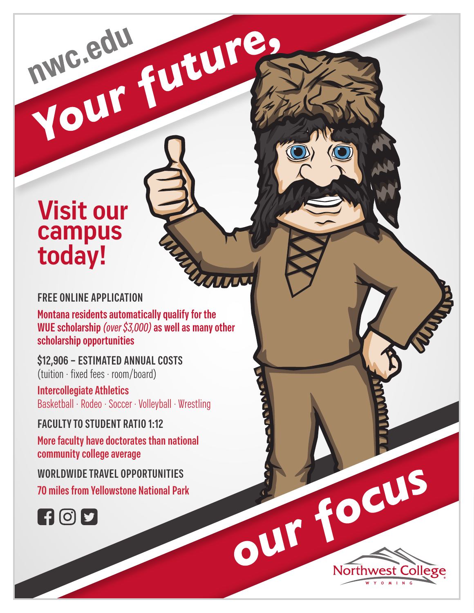# **Visit our campus today!**

# **FREE ONLINE APPLICATION**

**Montana residents automatically qualify for the WUE scholarship** *(over \$3,000)* **as well as many other scholarship opportunities**

MARIN

REPORT OF THE MONTH COLLEGE

**Northwe** 

nwe.edu Future

**\$12,906 – ESTIMATED ANNUAL COSTS**  (tuition · fixed fees · room/board)

**Intercollegiate Athletics** Basketball · Rodeo · Soccer · Volleyball · Wrestling

**FACULTY TO STUDENT RATIO 1:12**

**More faculty have doctorates than national community college average**

**WORLDWIDE TRAVEL OPPORTUNITIES**

**70 miles from Yellowstone National Park**

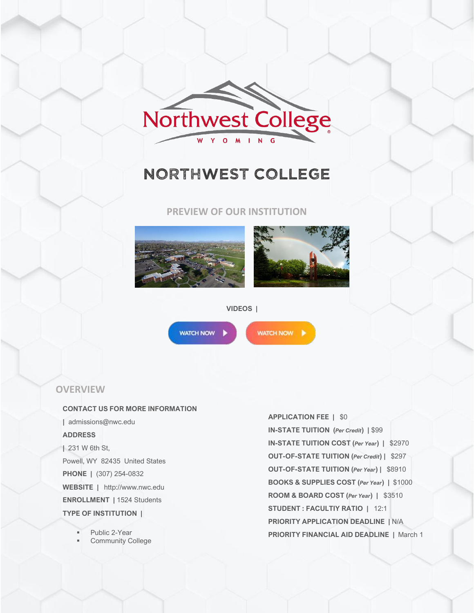

# NORTHWEST COLLEGE

**PREVIEW OF OUR INSTITUTION**





#### **VIDEOS |**

**WATCH NOW** 

WATCH NOW

#### **OVERVIEW**

#### **CONTACT US FOR MORE INFORMATION**

**|** admissions@nwc.edu **ADDRESS |** 231 W 6th St, Powell, WY 82435 United States **PHONE |** (307) 254-0832 **WEBSITE |** http://www.nwc.edu **ENROLLMENT |** 1524 Students **TYPE OF INSTITUTION |**

Public 2-Year

**Community College** 

**APPLICATION FEE |** \$0 **IN-STATE TUITION (***Per Credit***) |** \$99 **IN-STATE TUITION COST (***Per Year***) |** \$2970 **OUT-OF-STATE TUITION (***Per Credit***) |** \$297 **OUT-OF-STATE TUITION (***Per Year***) |** \$8910 **BOOKS & SUPPLIES COST (***Per Year***) |** \$1000 **ROOM & BOARD COST (***Per Year***) |** \$3510 **STUDENT : FACULTIY RATIO |** 12:1 **PRIORITY APPLICATION DEADLINE |** N/A **PRIORITY FINANCIAL AID DEADLINE |** March 1